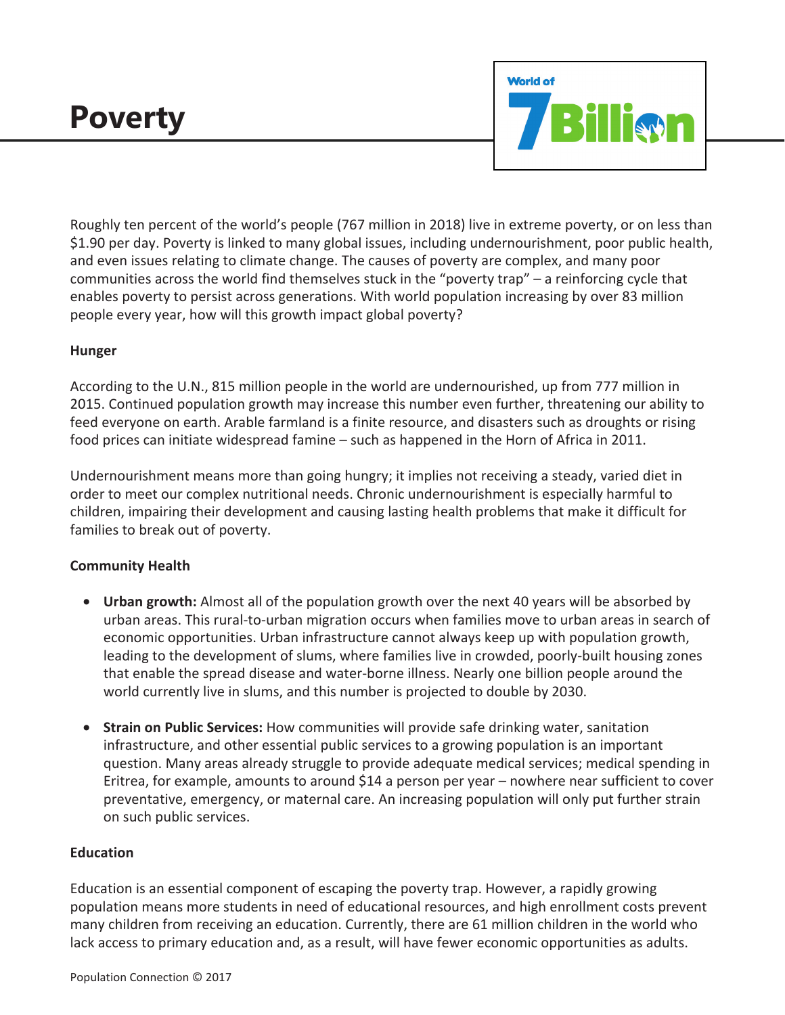# **Poverty**



Roughly ten percent of the world's people (767 million in 2018) live in extreme poverty, or on less than \$1.90 per day. Poverty is linked to many global issues, including undernourishment, poor public health, and even issues relating to climate change. The causes of poverty are complex, and many poor communities across the world find themselves stuck in the "poverty trap" – a reinforcing cycle that enables poverty to persist across generations. With world population increasing by over 83 million people every year, how will this growth impact global poverty?

## **Hunger**

According to the U.N., 815 million people in the world are undernourished, up from 777 million in 2015. Continued population growth may increase this number even further, threatening our ability to feed everyone on earth. Arable farmland is a finite resource, and disasters such as droughts or rising food prices can initiate widespread famine – such as happened in the Horn of Africa in 2011.

Undernourishment means more than going hungry; it implies not receiving a steady, varied diet in order to meet our complex nutritional needs. Chronic undernourishment is especially harmful to children, impairing their development and causing lasting health problems that make it difficult for families to break out of poverty.

# **Community Health**

- **Urban growth:** Almost all of the population growth over the next 40 years will be absorbed by urban areas. This rural-to-urban migration occurs when families move to urban areas in search of economic opportunities. Urban infrastructure cannot always keep up with population growth, leading to the development of slums, where families live in crowded, poorly-built housing zones that enable the spread disease and water-borne illness. Nearly one billion people around the world currently live in slums, and this number is projected to double by 2030.
- **Strain on Public Services:** How communities will provide safe drinking water, sanitation infrastructure, and other essential public services to a growing population is an important question. Many areas already struggle to provide adequate medical services; medical spending in Eritrea, for example, amounts to around \$14 a person per year – nowhere near sufficient to cover preventative, emergency, or maternal care. An increasing population will only put further strain on such public services.

# **Education**

Education is an essential component of escaping the poverty trap. However, a rapidly growing population means more students in need of educational resources, and high enrollment costs prevent many children from receiving an education. Currently, there are 61 million children in the world who lack access to primary education and, as a result, will have fewer economic opportunities as adults.